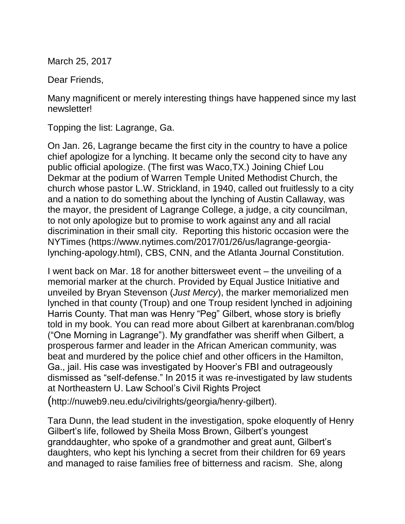March 25, 2017

Dear Friends,

Many magnificent or merely interesting things have happened since my last newsletter!

Topping the list: Lagrange, Ga.

On Jan. 26, Lagrange became the first city in the country to have a police chief apologize for a lynching. It became only the second city to have any public official apologize. (The first was Waco,TX.) Joining Chief Lou Dekmar at the podium of Warren Temple United Methodist Church, the church whose pastor L.W. Strickland, in 1940, called out fruitlessly to a city and a nation to do something about the lynching of Austin Callaway, was the mayor, the president of Lagrange College, a judge, a city councilman, to not only apologize but to promise to work against any and all racial discrimination in their small city. Reporting this historic occasion were the NYTimes (https://www.nytimes.com/2017/01/26/us/lagrange-georgialynching-apology.html), CBS, CNN, and the Atlanta Journal Constitution.

I went back on Mar. 18 for another bittersweet event – the unveiling of a memorial marker at the church. Provided by Equal Justice Initiative and unveiled by Bryan Stevenson (*Just Mercy*), the marker memorialized men lynched in that county (Troup) and one Troup resident lynched in adjoining Harris County. That man was Henry "Peg" Gilbert, whose story is briefly told in my book. You can read more about Gilbert at karenbranan.com/blog ("One Morning in Lagrange"). My grandfather was sheriff when Gilbert, a prosperous farmer and leader in the African American community, was beat and murdered by the police chief and other officers in the Hamilton, Ga., jail. His case was investigated by Hoover's FBI and outrageously dismissed as "self-defense." In 2015 it was re-investigated by law students at Northeastern U. Law School's Civil Rights Project

(http://nuweb9.neu.edu/civilrights/georgia/henry-gilbert).

Tara Dunn, the lead student in the investigation, spoke eloquently of Henry Gilbert's life, followed by Sheila Moss Brown, Gilbert's youngest granddaughter, who spoke of a grandmother and great aunt, Gilbert's daughters, who kept his lynching a secret from their children for 69 years and managed to raise families free of bitterness and racism. She, along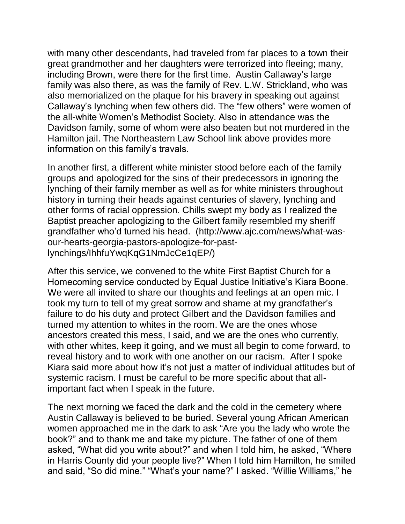with many other descendants, had traveled from far places to a town their great grandmother and her daughters were terrorized into fleeing; many, including Brown, were there for the first time. Austin Callaway's large family was also there, as was the family of Rev. L.W. Strickland, who was also memorialized on the plaque for his bravery in speaking out against Callaway's lynching when few others did. The "few others" were women of the all-white Women's Methodist Society. Also in attendance was the Davidson family, some of whom were also beaten but not murdered in the Hamilton jail. The Northeastern Law School link above provides more information on this family's travals.

In another first, a different white minister stood before each of the family groups and apologized for the sins of their predecessors in ignoring the lynching of their family member as well as for white ministers throughout history in turning their heads against centuries of slavery, lynching and other forms of racial oppression. Chills swept my body as I realized the Baptist preacher apologizing to the Gilbert family resembled my sheriff grandfather who'd turned his head. (http://www.ajc.com/news/what-wasour-hearts-georgia-pastors-apologize-for-pastlynchings/IhhfuYwqKqG1NmJcCe1qEP/)

After this service, we convened to the white First Baptist Church for a Homecoming service conducted by Equal Justice Initiative's Kiara Boone. We were all invited to share our thoughts and feelings at an open mic. I took my turn to tell of my great sorrow and shame at my grandfather's failure to do his duty and protect Gilbert and the Davidson families and turned my attention to whites in the room. We are the ones whose ancestors created this mess, I said, and we are the ones who currently, with other whites, keep it going, and we must all begin to come forward, to reveal history and to work with one another on our racism. After I spoke Kiara said more about how it's not just a matter of individual attitudes but of systemic racism. I must be careful to be more specific about that allimportant fact when I speak in the future.

The next morning we faced the dark and the cold in the cemetery where Austin Callaway is believed to be buried. Several young African American women approached me in the dark to ask "Are you the lady who wrote the book?" and to thank me and take my picture. The father of one of them asked, "What did you write about?" and when I told him, he asked, "Where in Harris County did your people live?" When I told him Hamilton, he smiled and said, "So did mine." "What's your name?" I asked. "Willie Williams," he